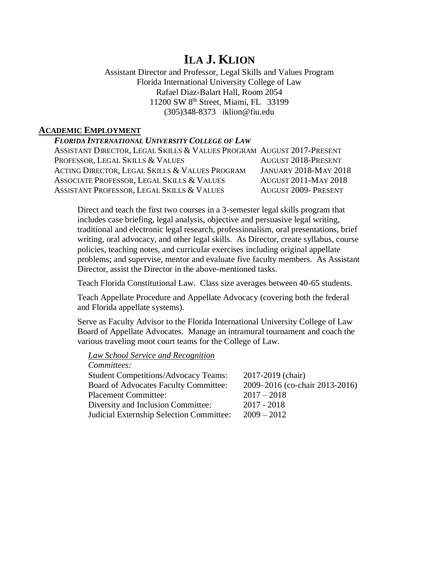# **ILA J. KLION**

## Assistant Director and Professor, Legal Skills and Values Program Florida International University College of Law Rafael Diaz-Balart Hall, Room 2054 11200 SW 8th Street, Miami, FL 33199 (305)348-8373 iklion@fiu.edu

# **ACADEMIC EMPLOYMENT**

# *FLORIDA INTERNATIONAL UNIVERSITY COLLEGE OF LAW*

| ASSISTANT DIRECTOR, LEGAL SKILLS & VALUES PROGRAM AUGUST 2017-PRESENT |                              |
|-----------------------------------------------------------------------|------------------------------|
| PROFESSOR, LEGAL SKILLS & VALUES                                      | <b>AUGUST 2018-PRESENT</b>   |
| ACTING DIRECTOR, LEGAL SKILLS & VALUES PROGRAM                        | <b>JANUARY 2018-MAY 2018</b> |
| ASSOCIATE PROFESSOR, LEGAL SKILLS & VALUES                            | <b>AUGUST 2011-MAY 2018</b>  |
| ASSISTANT PROFESSOR, LEGAL SKILLS & VALUES                            | <b>AUGUST 2009- PRESENT</b>  |

Direct and teach the first two courses in a 3-semester legal skills program that includes case briefing, legal analysis, objective and persuasive legal writing, traditional and electronic legal research, professionalism, oral presentations, brief writing, oral advocacy, and other legal skills. As Director, create syllabus, course policies, teaching notes, and curricular exercises including original appellate problems; and supervise, mentor and evaluate five faculty members. As Assistant Director, assist the Director in the above-mentioned tasks.

Teach Florida Constitutional Law. Class size averages between 40-65 students.

Teach Appellate Procedure and Appellate Advocacy (covering both the federal and Florida appellate systems).

Serve as Faculty Advisor to the Florida International University College of Law Board of Appellate Advocates. Manage an intramural tournament and coach the various traveling moot court teams for the College of Law.

*Law School Service and Recognition*

*Committees:*

| Communices.                                 |                                |
|---------------------------------------------|--------------------------------|
| <b>Student Competitions/Advocacy Teams:</b> | 2017-2019 (chair)              |
| Board of Advocates Faculty Committee:       | 2009–2016 (co-chair 2013-2016) |
| <b>Placement Committee:</b>                 | $2017 - 2018$                  |
| Diversity and Inclusion Committee:          | $2017 - 2018$                  |
| Judicial Externship Selection Committee:    | $2009 - 2012$                  |
|                                             |                                |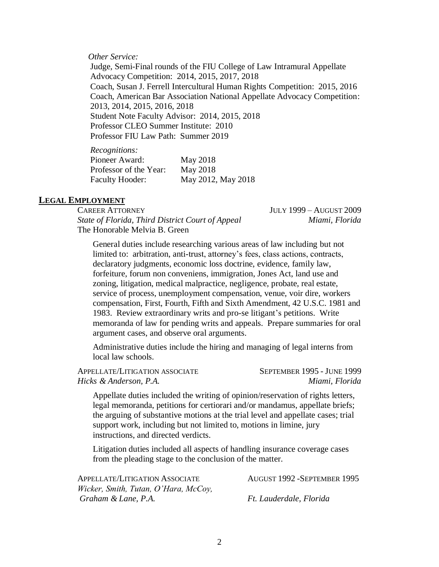*Other Service:*

Judge, Semi-Final rounds of the FIU College of Law Intramural Appellate Advocacy Competition: 2014, 2015, 2017, 2018 Coach, Susan J. Ferrell Intercultural Human Rights Competition: 2015, 2016 Coach, American Bar Association National Appellate Advocacy Competition: 2013, 2014, 2015, 2016, 2018 Student Note Faculty Advisor: 2014, 2015, 2018 Professor CLEO Summer Institute: 2010 Professor FIU Law Path: Summer 2019

| <i>Recognitions:</i>   |                    |
|------------------------|--------------------|
| Pioneer Award:         | May 2018           |
| Professor of the Year: | May 2018           |
| <b>Faculty Hooder:</b> | May 2012, May 2018 |

#### **LEGAL EMPLOYMENT**

CAREER ATTORNEY JULY 1999 – AUGUST 2009 *State of Florida, Third District Court of Appeal Miami, Florida* The Honorable Melvia B. Green

General duties include researching various areas of law including but not limited to: arbitration, anti-trust, attorney's fees, class actions, contracts, declaratory judgments, economic loss doctrine, evidence, family law, forfeiture, forum non conveniens, immigration, Jones Act, land use and zoning, litigation, medical malpractice, negligence, probate, real estate, service of process, unemployment compensation, venue, voir dire, workers compensation, First, Fourth, Fifth and Sixth Amendment, 42 U.S.C. 1981 and 1983. Review extraordinary writs and pro-se litigant's petitions. Write memoranda of law for pending writs and appeals. Prepare summaries for oral argument cases, and observe oral arguments.

Administrative duties include the hiring and managing of legal interns from local law schools.

APPELLATE/LITIGATION ASSOCIATE SEPTEMBER 1995 - JUNE 1999 *Hicks & Anderson, P.A. Miami, Florida*

Appellate duties included the writing of opinion/reservation of rights letters, legal memoranda, petitions for certiorari and/or mandamus, appellate briefs; the arguing of substantive motions at the trial level and appellate cases; trial support work, including but not limited to, motions in limine, jury instructions, and directed verdicts.

Litigation duties included all aspects of handling insurance coverage cases from the pleading stage to the conclusion of the matter.

| APPELLATE/LITIGATION ASSOCIATE       | <b>AUGUST 1992 - SEPTEMBER 1995</b> |
|--------------------------------------|-------------------------------------|
| Wicker, Smith, Tutan, O'Hara, McCoy, |                                     |
| Graham & Lane, P.A.                  | Ft. Lauderdale, Florida             |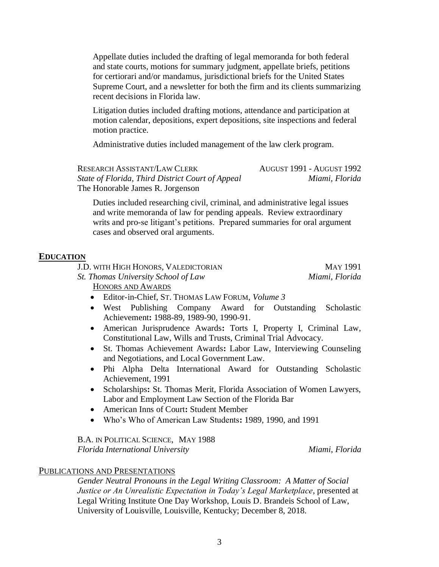Appellate duties included the drafting of legal memoranda for both federal and state courts, motions for summary judgment, appellate briefs, petitions for certiorari and/or mandamus, jurisdictional briefs for the United States Supreme Court, and a newsletter for both the firm and its clients summarizing recent decisions in Florida law.

Litigation duties included drafting motions, attendance and participation at motion calendar, depositions, expert depositions, site inspections and federal motion practice.

Administrative duties included management of the law clerk program.

RESEARCH ASSISTANT/LAW CLERK AUGUST 1991 - AUGUST 1992 *State of Florida, Third District Court of Appeal Miami, Florida* The Honorable James R. Jorgenson

Duties included researching civil, criminal, and administrative legal issues and write memoranda of law for pending appeals. Review extraordinary writs and pro-se litigant's petitions. Prepared summaries for oral argument cases and observed oral arguments.

# **EDUCATION**

J.D. WITH HIGH HONORS, VALEDICTORIAN MAY 1991 *St. Thomas University School of Law Miami, Florida* HONORS AND AWARDS

- Editor-in-Chief, ST. THOMAS LAW FORUM, *Volume 3*
- West Publishing Company Award for Outstanding Scholastic Achievement**:** 1988-89, 1989-90, 1990-91.
- American Jurisprudence Awards**:** Torts I, Property I, Criminal Law, Constitutional Law, Wills and Trusts, Criminal Trial Advocacy.
- St. Thomas Achievement Awards**:** Labor Law, Interviewing Counseling and Negotiations, and Local Government Law.
- Phi Alpha Delta International Award for Outstanding Scholastic Achievement, 1991
- Scholarships**:** St. Thomas Merit, Florida Association of Women Lawyers, Labor and Employment Law Section of the Florida Bar
- American Inns of Court**:** Student Member
- Who's Who of American Law Students**:** 1989, 1990, and 1991

B.A. IN POLITICAL SCIENCE, MAY 1988 *Florida International University Miami, Florida* 

#### PUBLICATIONS AND PRESENTATIONS

*Gender Neutral Pronouns in the Legal Writing Classroom: A Matter of Social Justice or An Unrealistic Expectation in Today's Legal Marketplace*, presented at Legal Writing Institute One Day Workshop, Louis D. Brandeis School of Law, University of Louisville, Louisville, Kentucky; December 8, 2018.